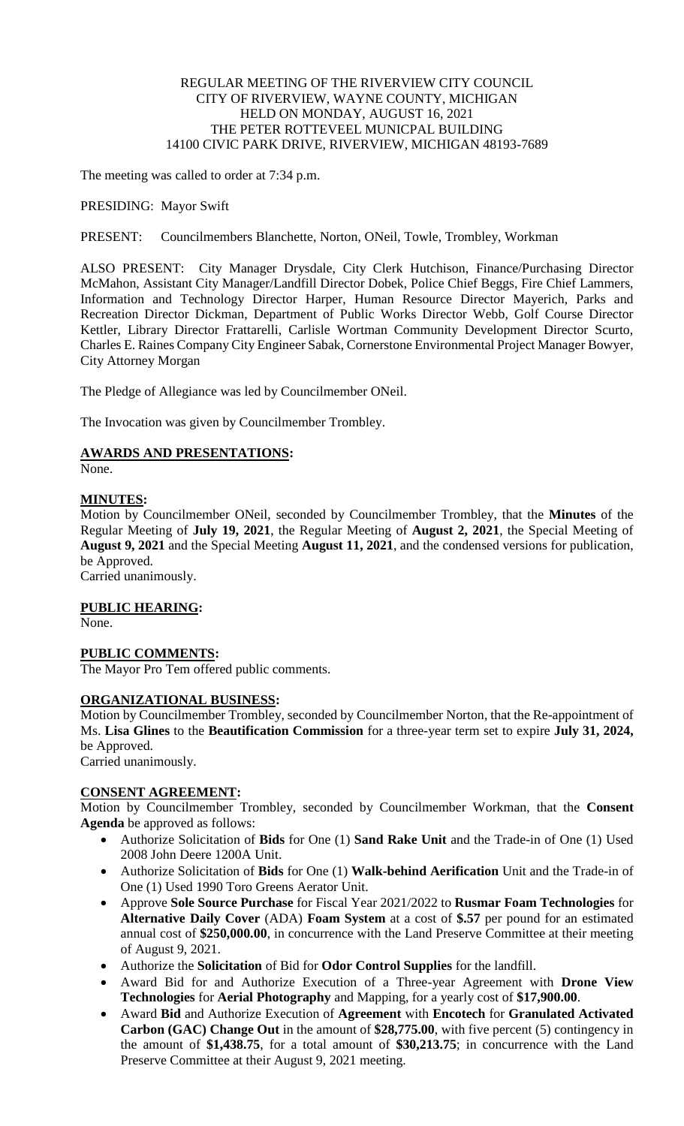# REGULAR MEETING OF THE RIVERVIEW CITY COUNCIL CITY OF RIVERVIEW, WAYNE COUNTY, MICHIGAN HELD ON MONDAY, AUGUST 16, 2021 THE PETER ROTTEVEEL MUNICPAL BUILDING 14100 CIVIC PARK DRIVE, RIVERVIEW, MICHIGAN 48193-7689

The meeting was called to order at 7:34 p.m.

PRESIDING: Mayor Swift

PRESENT: Councilmembers Blanchette, Norton, ONeil, Towle, Trombley, Workman

ALSO PRESENT: City Manager Drysdale, City Clerk Hutchison, Finance/Purchasing Director McMahon, Assistant City Manager/Landfill Director Dobek, Police Chief Beggs, Fire Chief Lammers, Information and Technology Director Harper, Human Resource Director Mayerich, Parks and Recreation Director Dickman, Department of Public Works Director Webb, Golf Course Director Kettler, Library Director Frattarelli, Carlisle Wortman Community Development Director Scurto, Charles E. Raines Company City Engineer Sabak, Cornerstone Environmental Project Manager Bowyer, City Attorney Morgan

The Pledge of Allegiance was led by Councilmember ONeil.

The Invocation was given by Councilmember Trombley.

## **AWARDS AND PRESENTATIONS:**

None.

## **MINUTES:**

Motion by Councilmember ONeil, seconded by Councilmember Trombley, that the **Minutes** of the Regular Meeting of **July 19, 2021**, the Regular Meeting of **August 2, 2021**, the Special Meeting of **August 9, 2021** and the Special Meeting **August 11, 2021**, and the condensed versions for publication, be Approved.

Carried unanimously.

#### **PUBLIC HEARING:**

None.

## **PUBLIC COMMENTS:**

The Mayor Pro Tem offered public comments.

#### **ORGANIZATIONAL BUSINESS:**

Motion by Councilmember Trombley, seconded by Councilmember Norton, that the Re-appointment of Ms. **Lisa Glines** to the **Beautification Commission** for a three-year term set to expire **July 31, 2024,** be Approved.

Carried unanimously.

# **CONSENT AGREEMENT:**

Motion by Councilmember Trombley, seconded by Councilmember Workman, that the **Consent Agenda** be approved as follows:

- Authorize Solicitation of **Bids** for One (1) **Sand Rake Unit** and the Trade-in of One (1) Used 2008 John Deere 1200A Unit.
- Authorize Solicitation of **Bids** for One (1) **Walk-behind Aerification** Unit and the Trade-in of One (1) Used 1990 Toro Greens Aerator Unit.
- Approve **Sole Source Purchase** for Fiscal Year 2021/2022 to **Rusmar Foam Technologies** for **Alternative Daily Cover** (ADA) **Foam System** at a cost of **\$.57** per pound for an estimated annual cost of **\$250,000.00**, in concurrence with the Land Preserve Committee at their meeting of August 9, 2021.
- Authorize the **Solicitation** of Bid for **Odor Control Supplies** for the landfill.
- Award Bid for and Authorize Execution of a Three-year Agreement with **Drone View Technologies** for **Aerial Photography** and Mapping, for a yearly cost of **\$17,900.00**.
- Award **Bid** and Authorize Execution of **Agreement** with **Encotech** for **Granulated Activated Carbon (GAC) Change Out** in the amount of **\$28,775.00**, with five percent (5) contingency in the amount of **\$1,438.75**, for a total amount of **\$30,213.75**; in concurrence with the Land Preserve Committee at their August 9, 2021 meeting.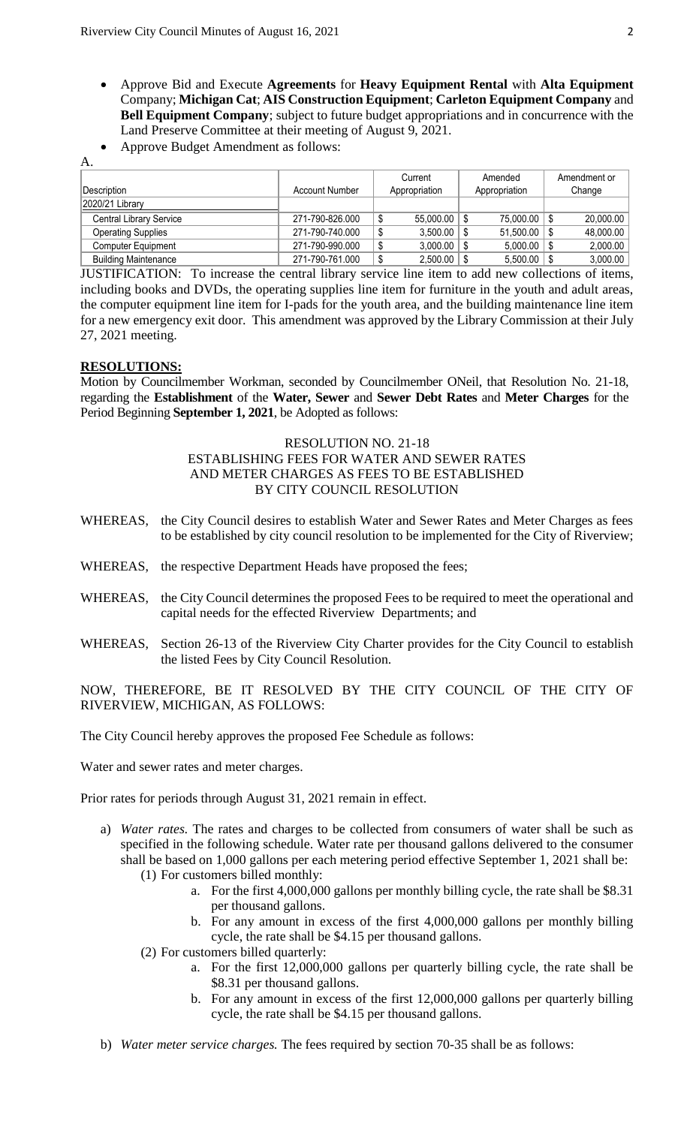- Approve Bid and Execute **Agreements** for **Heavy Equipment Rental** with **Alta Equipment** Company; **Michigan Cat**; **AIS Construction Equipment**; **Carleton Equipment Company** and **Bell Equipment Company**; subject to future budget appropriations and in concurrence with the Land Preserve Committee at their meeting of August 9, 2021.
- Approve Budget Amendment as follows:

| .                           |                       |               |                  |              |
|-----------------------------|-----------------------|---------------|------------------|--------------|
|                             |                       | Current       | Amended          | Amendment or |
| Description                 | <b>Account Number</b> | Appropriation | Appropriation    | Change       |
| 2020/21 Library             |                       |               |                  |              |
| Central Library Service     | 271-790-826.000       | 55,000.00     | $75,000.00$   \$ | 20,000.00    |
| <b>Operating Supplies</b>   | 271-790-740.000       | 3.500.00      | $51,500.00$   \$ | 48,000.00    |
| <b>Computer Equipment</b>   | 271-790-990.000       | 3,000.00      | $5,000.00$   \$  | 2,000.00     |
| <b>Building Maintenance</b> | 271-790-761.000       | 2,500.00      | $5,500.00$ \ \$  | 3,000.00     |

JUSTIFICATION: To increase the central library service line item to add new collections of items, including books and DVDs, the operating supplies line item for furniture in the youth and adult areas, the computer equipment line item for I-pads for the youth area, and the building maintenance line item for a new emergency exit door. This amendment was approved by the Library Commission at their July 27, 2021 meeting.

# **RESOLUTIONS:**

A.

Motion by Councilmember Workman, seconded by Councilmember ONeil, that Resolution No. 21-18, regarding the **Establishment** of the **Water, Sewer** and **Sewer Debt Rates** and **Meter Charges** for the Period Beginning **September 1, 2021**, be Adopted as follows:

## RESOLUTION NO. 21-18 ESTABLISHING FEES FOR WATER AND SEWER RATES AND METER CHARGES AS FEES TO BE ESTABLISHED BY CITY COUNCIL RESOLUTION

- WHEREAS, the City Council desires to establish Water and Sewer Rates and Meter Charges as fees to be established by city council resolution to be implemented for the City of Riverview;
- WHEREAS, the respective Department Heads have proposed the fees;
- WHEREAS, the City Council determines the proposed Fees to be required to meet the operational and capital needs for the effected Riverview Departments; and
- WHEREAS, Section 26-13 of the Riverview City Charter provides for the City Council to establish the listed Fees by City Council Resolution.

NOW, THEREFORE, BE IT RESOLVED BY THE CITY COUNCIL OF THE CITY OF RIVERVIEW, MICHIGAN, AS FOLLOWS:

The City Council hereby approves the proposed Fee Schedule as follows:

Water and sewer rates and meter charges.

Prior rates for periods through August 31, 2021 remain in effect.

- a) *Water rates.* The rates and charges to be collected from consumers of water shall be such as specified in the following schedule. Water rate per thousand gallons delivered to the consumer shall be based on 1,000 gallons per each metering period effective September 1, 2021 shall be: (1) For customers billed monthly:
	- a. For the first 4,000,000 gallons per monthly billing cycle, the rate shall be \$8.31 per thousand gallons.
	- b. For any amount in excess of the first 4,000,000 gallons per monthly billing cycle, the rate shall be \$4.15 per thousand gallons.
	- (2) For customers billed quarterly:
		- a. For the first 12,000,000 gallons per quarterly billing cycle, the rate shall be \$8.31 per thousand gallons.
		- b. For any amount in excess of the first 12,000,000 gallons per quarterly billing cycle, the rate shall be \$4.15 per thousand gallons.
- b) *Water meter service charges.* The fees required by section 70-35 shall be as follows: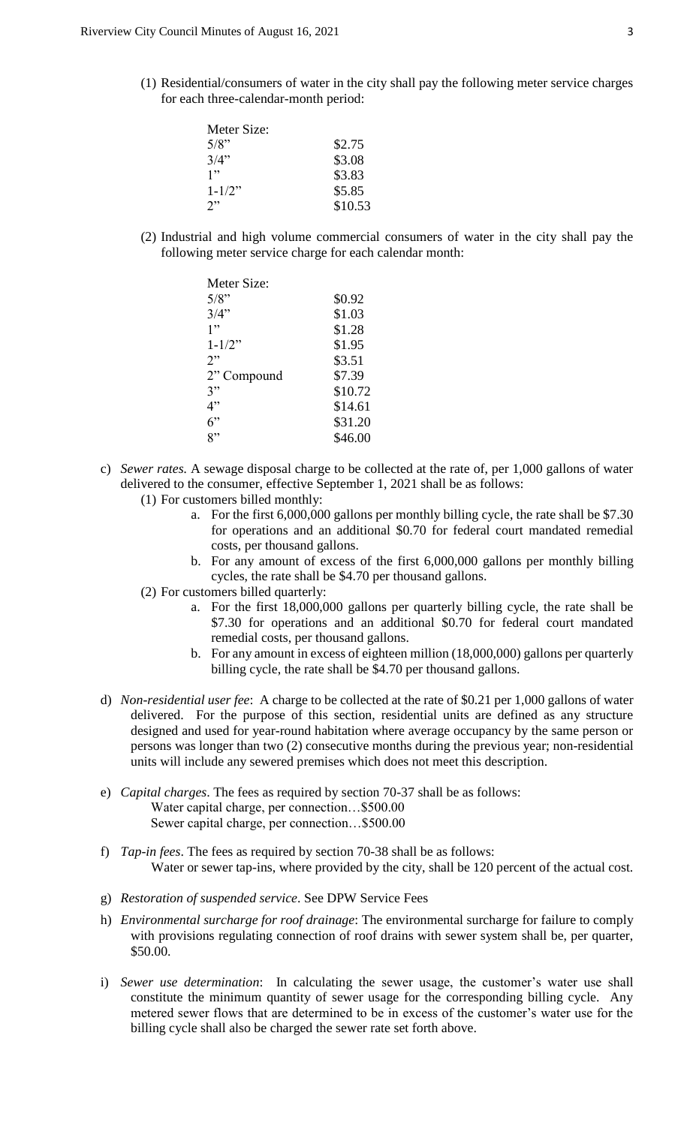(1) Residential/consumers of water in the city shall pay the following meter service charges for each three-calendar-month period:

| \$2.75  |
|---------|
| \$3.08  |
| \$3.83  |
| \$5.85  |
| \$10.53 |
|         |

(2) Industrial and high volume commercial consumers of water in the city shall pay the following meter service charge for each calendar month:

| Meter Size: |         |
|-------------|---------|
| $5/8$ "     | \$0.92  |
| 3/4"        | \$1.03  |
| 1"          | \$1.28  |
| $1 - 1/2$ " | \$1.95  |
| 2"          | \$3.51  |
| 2" Compound | \$7.39  |
| 3"          | \$10.72 |
| 4"          | \$14.61 |
| 6"          | \$31.20 |
| 8"          | \$46.00 |

- c) *Sewer rates.* A sewage disposal charge to be collected at the rate of, per 1,000 gallons of water delivered to the consumer, effective September 1, 2021 shall be as follows:
	- (1) For customers billed monthly:
		- a. For the first 6,000,000 gallons per monthly billing cycle, the rate shall be \$7.30 for operations and an additional \$0.70 for federal court mandated remedial costs, per thousand gallons.
		- b. For any amount of excess of the first 6,000,000 gallons per monthly billing cycles, the rate shall be \$4.70 per thousand gallons.
	- (2) For customers billed quarterly:
		- a. For the first 18,000,000 gallons per quarterly billing cycle, the rate shall be \$7.30 for operations and an additional \$0.70 for federal court mandated remedial costs, per thousand gallons.
		- b. For any amount in excess of eighteen million (18,000,000) gallons per quarterly billing cycle, the rate shall be \$4.70 per thousand gallons.
- d) *Non-residential user fee*: A charge to be collected at the rate of \$0.21 per 1,000 gallons of water delivered. For the purpose of this section, residential units are defined as any structure designed and used for year-round habitation where average occupancy by the same person or persons was longer than two (2) consecutive months during the previous year; non-residential units will include any sewered premises which does not meet this description.
- e) *Capital charges*. The fees as required by section 70-37 shall be as follows: Water capital charge, per connection…\$500.00 Sewer capital charge, per connection…\$500.00
- f) *Tap-in fees*. The fees as required by section 70-38 shall be as follows: Water or sewer tap-ins, where provided by the city, shall be 120 percent of the actual cost.
- g) *Restoration of suspended service*. See DPW Service Fees
- h) *Environmental surcharge for roof drainage*: The environmental surcharge for failure to comply with provisions regulating connection of roof drains with sewer system shall be, per quarter, \$50.00.
- i) *Sewer use determination*: In calculating the sewer usage, the customer's water use shall constitute the minimum quantity of sewer usage for the corresponding billing cycle. Any metered sewer flows that are determined to be in excess of the customer's water use for the billing cycle shall also be charged the sewer rate set forth above.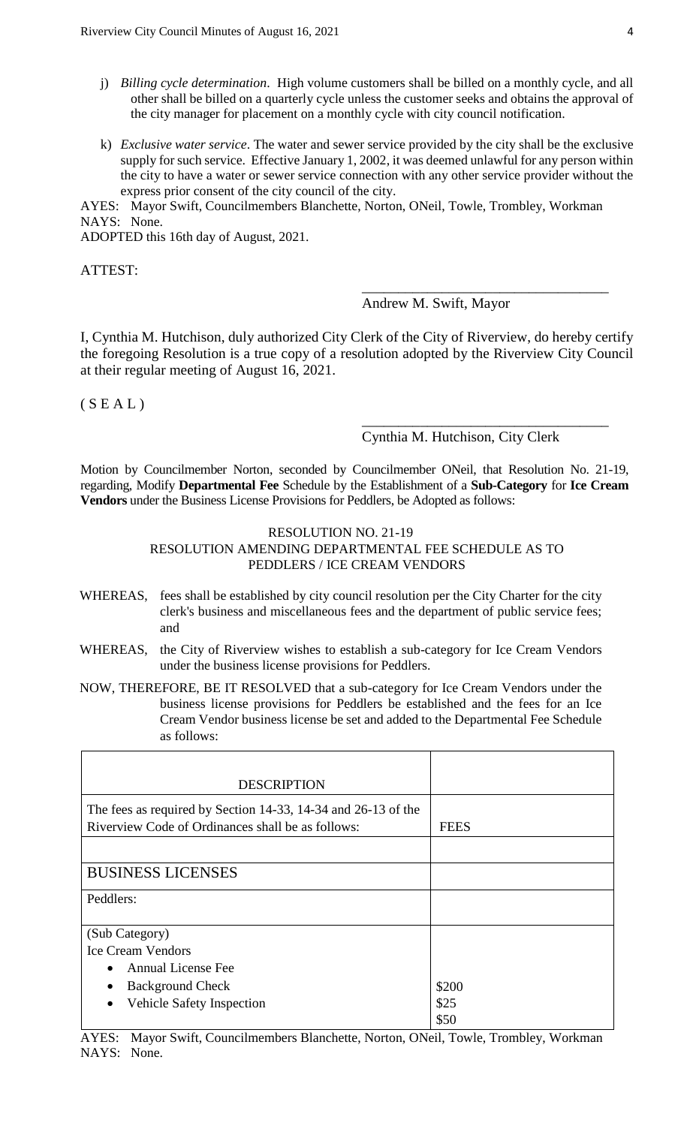- j) *Billing cycle determination*. High volume customers shall be billed on a monthly cycle, and all other shall be billed on a quarterly cycle unless the customer seeks and obtains the approval of the city manager for placement on a monthly cycle with city council notification.
- k) *Exclusive water service*. The water and sewer service provided by the city shall be the exclusive supply for such service. Effective January 1, 2002, it was deemed unlawful for any person within the city to have a water or sewer service connection with any other service provider without the express prior consent of the city council of the city.

AYES: Mayor Swift, Councilmembers Blanchette, Norton, ONeil, Towle, Trombley, Workman NAYS: None.

ADOPTED this 16th day of August, 2021.

ATTEST:

Andrew M. Swift, Mayor

\_\_\_\_\_\_\_\_\_\_\_\_\_\_\_\_\_\_\_\_\_\_\_\_\_\_\_\_\_\_\_\_\_\_

I, Cynthia M. Hutchison, duly authorized City Clerk of the City of Riverview, do hereby certify the foregoing Resolution is a true copy of a resolution adopted by the Riverview City Council at their regular meeting of August 16, 2021.

 $(S E A L)$ 

# Cynthia M. Hutchison, City Clerk

\_\_\_\_\_\_\_\_\_\_\_\_\_\_\_\_\_\_\_\_\_\_\_\_\_\_\_\_\_\_\_\_\_\_

Motion by Councilmember Norton, seconded by Councilmember ONeil, that Resolution No. 21-19, regarding, Modify **Departmental Fee** Schedule by the Establishment of a **Sub-Category** for **Ice Cream Vendors** under the Business License Provisions for Peddlers, be Adopted as follows:

#### RESOLUTION NO. 21-19

# RESOLUTION AMENDING DEPARTMENTAL FEE SCHEDULE AS TO PEDDLERS / ICE CREAM VENDORS

- WHEREAS, fees shall be established by city council resolution per the City Charter for the city clerk's business and miscellaneous fees and the department of public service fees; and
- WHEREAS, the City of Riverview wishes to establish a sub-category for Ice Cream Vendors under the business license provisions for Peddlers.
- NOW, THEREFORE, BE IT RESOLVED that a sub-category for Ice Cream Vendors under the business license provisions for Peddlers be established and the fees for an Ice Cream Vendor business license be set and added to the Departmental Fee Schedule as follows:

| <b>DESCRIPTION</b>                                                                                                 |             |
|--------------------------------------------------------------------------------------------------------------------|-------------|
| The fees as required by Section 14-33, 14-34 and 26-13 of the<br>Riverview Code of Ordinances shall be as follows: | <b>FEES</b> |
|                                                                                                                    |             |
| <b>BUSINESS LICENSES</b>                                                                                           |             |
| Peddlers:                                                                                                          |             |
| (Sub Category)                                                                                                     |             |
| <b>Ice Cream Vendors</b>                                                                                           |             |
| <b>Annual License Fee</b>                                                                                          |             |
| <b>Background Check</b>                                                                                            | \$200       |
| Vehicle Safety Inspection<br>$\bullet$                                                                             | \$25        |
|                                                                                                                    | \$50        |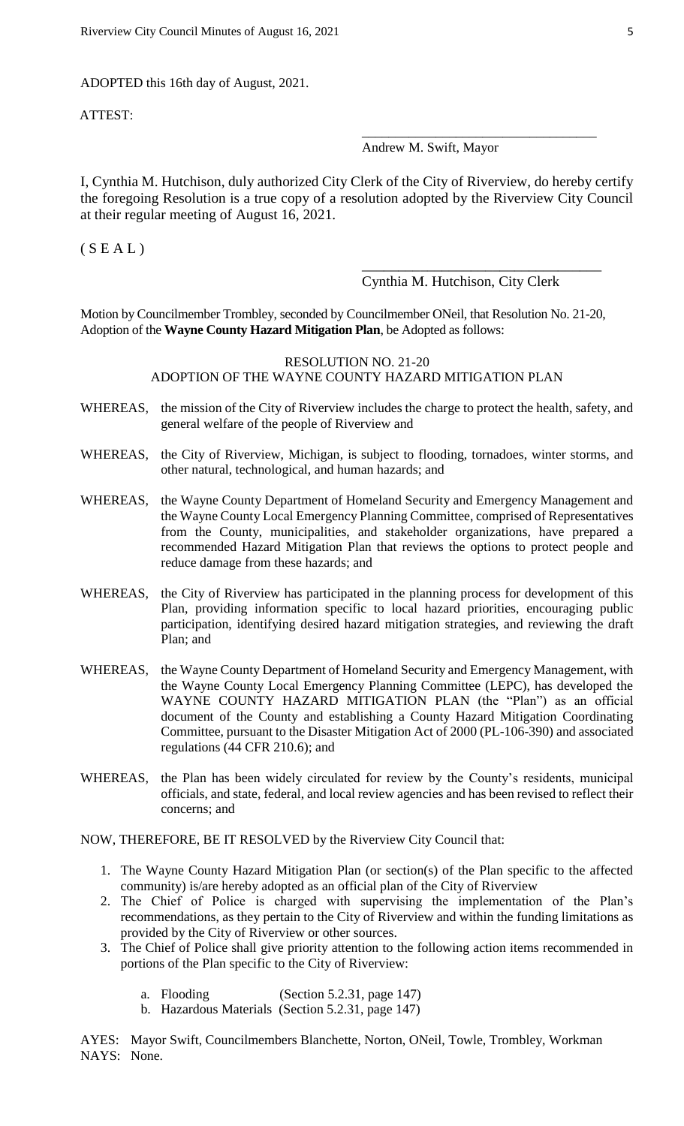ADOPTED this 16th day of August, 2021.

ATTEST:

## Andrew M. Swift, Mayor

I, Cynthia M. Hutchison, duly authorized City Clerk of the City of Riverview, do hereby certify the foregoing Resolution is a true copy of a resolution adopted by the Riverview City Council at their regular meeting of August 16, 2021.

 $(S E A L)$ 

Cynthia M. Hutchison, City Clerk

\_\_\_\_\_\_\_\_\_\_\_\_\_\_\_\_\_\_\_\_\_\_\_\_\_\_\_\_\_\_\_\_\_

\_\_\_\_\_\_\_\_\_\_\_\_\_\_\_\_\_\_\_\_\_\_\_\_\_\_\_\_\_\_\_\_\_\_\_

Motion by Councilmember Trombley, seconded by Councilmember ONeil, that Resolution No. 21-20, Adoption of the **Wayne County Hazard Mitigation Plan**, be Adopted as follows:

# RESOLUTION NO. 21-20 ADOPTION OF THE WAYNE COUNTY HAZARD MITIGATION PLAN

- WHEREAS, the mission of the City of Riverview includes the charge to protect the health, safety, and general welfare of the people of Riverview and
- WHEREAS, the City of Riverview, Michigan, is subject to flooding, tornadoes, winter storms, and other natural, technological, and human hazards; and
- WHEREAS, the Wayne County Department of Homeland Security and Emergency Management and the Wayne County Local Emergency Planning Committee, comprised of Representatives from the County, municipalities, and stakeholder organizations, have prepared a recommended Hazard Mitigation Plan that reviews the options to protect people and reduce damage from these hazards; and
- WHEREAS, the City of Riverview has participated in the planning process for development of this Plan, providing information specific to local hazard priorities, encouraging public participation, identifying desired hazard mitigation strategies, and reviewing the draft Plan; and
- WHEREAS, the Wayne County Department of Homeland Security and Emergency Management, with the Wayne County Local Emergency Planning Committee (LEPC), has developed the WAYNE COUNTY HAZARD MITIGATION PLAN (the "Plan") as an official document of the County and establishing a County Hazard Mitigation Coordinating Committee, pursuant to the Disaster Mitigation Act of 2000 (PL-106-390) and associated regulations (44 CFR 210.6); and
- WHEREAS, the Plan has been widely circulated for review by the County's residents, municipal officials, and state, federal, and local review agencies and has been revised to reflect their concerns; and

NOW, THEREFORE, BE IT RESOLVED by the Riverview City Council that:

- 1. The Wayne County Hazard Mitigation Plan (or section(s) of the Plan specific to the affected community) is/are hereby adopted as an official plan of the City of Riverview
- 2. The Chief of Police is charged with supervising the implementation of the Plan's recommendations, as they pertain to the City of Riverview and within the funding limitations as provided by the City of Riverview or other sources.
- 3. The Chief of Police shall give priority attention to the following action items recommended in portions of the Plan specific to the City of Riverview:
	- a. Flooding (Section 5.2.31, page 147)
	- b. Hazardous Materials (Section 5.2.31, page 147)

AYES: Mayor Swift, Councilmembers Blanchette, Norton, ONeil, Towle, Trombley, Workman NAYS: None.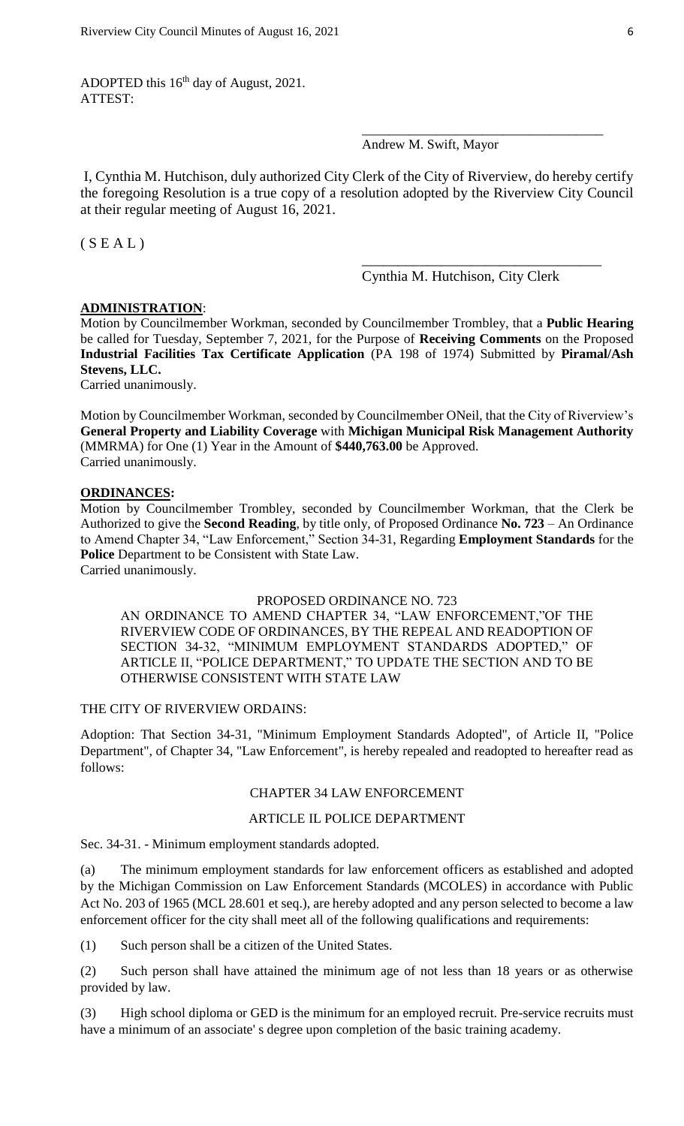ADOPTED this  $16<sup>th</sup>$  day of August, 2021. ATTEST:

# Andrew M. Swift, Mayor

I, Cynthia M. Hutchison, duly authorized City Clerk of the City of Riverview, do hereby certify the foregoing Resolution is a true copy of a resolution adopted by the Riverview City Council at their regular meeting of August 16, 2021.

 $(S E A L)$ 

Cynthia M. Hutchison, City Clerk

\_\_\_\_\_\_\_\_\_\_\_\_\_\_\_\_\_\_\_\_\_\_\_\_\_\_\_\_\_\_\_\_\_

\_\_\_\_\_\_\_\_\_\_\_\_\_\_\_\_\_\_\_\_\_\_\_\_\_\_\_\_\_\_\_\_\_\_\_\_

## **ADMINISTRATION**:

Motion by Councilmember Workman, seconded by Councilmember Trombley, that a **Public Hearing** be called for Tuesday, September 7, 2021, for the Purpose of **Receiving Comments** on the Proposed **Industrial Facilities Tax Certificate Application** (PA 198 of 1974) Submitted by **Piramal/Ash Stevens, LLC.**

Carried unanimously.

Motion by Councilmember Workman, seconded by Councilmember ONeil, that the City of Riverview's **General Property and Liability Coverage** with **Michigan Municipal Risk Management Authority** (MMRMA) for One (1) Year in the Amount of **\$440,763.00** be Approved. Carried unanimously.

## **ORDINANCES:**

Motion by Councilmember Trombley, seconded by Councilmember Workman, that the Clerk be Authorized to give the **Second Reading**, by title only, of Proposed Ordinance **No. 723** – An Ordinance to Amend Chapter 34, "Law Enforcement," Section 34-31, Regarding **Employment Standards** for the **Police** Department to be Consistent with State Law. Carried unanimously.

#### PROPOSED ORDINANCE NO. 723

AN ORDINANCE TO AMEND CHAPTER 34, "LAW ENFORCEMENT,"OF THE RIVERVIEW CODE OF ORDINANCES, BY THE REPEAL AND READOPTION OF SECTION 34-32, "MINIMUM EMPLOYMENT STANDARDS ADOPTED," OF ARTICLE II, "POLICE DEPARTMENT," TO UPDATE THE SECTION AND TO BE OTHERWISE CONSISTENT WITH STATE LAW

## THE CITY OF RIVERVIEW ORDAINS:

Adoption: That Section 34-31, "Minimum Employment Standards Adopted", of Article II, "Police Department", of Chapter 34, "Law Enforcement", is hereby repealed and readopted to hereafter read as follows:

## CHAPTER 34 LAW ENFORCEMENT

#### ARTICLE IL POLICE DEPARTMENT

Sec. 34-31. - Minimum employment standards adopted.

(a) The minimum employment standards for law enforcement officers as established and adopted by the Michigan Commission on Law Enforcement Standards (MCOLES) in accordance with Public Act No. 203 of 1965 (MCL 28.601 et seq.), are hereby adopted and any person selected to become a law enforcement officer for the city shall meet all of the following qualifications and requirements:

(1) Such person shall be a citizen of the United States.

(2) Such person shall have attained the minimum age of not less than 18 years or as otherwise provided by law.

(3) High school diploma or GED is the minimum for an employed recruit. Pre-service recruits must have a minimum of an associate' s degree upon completion of the basic training academy.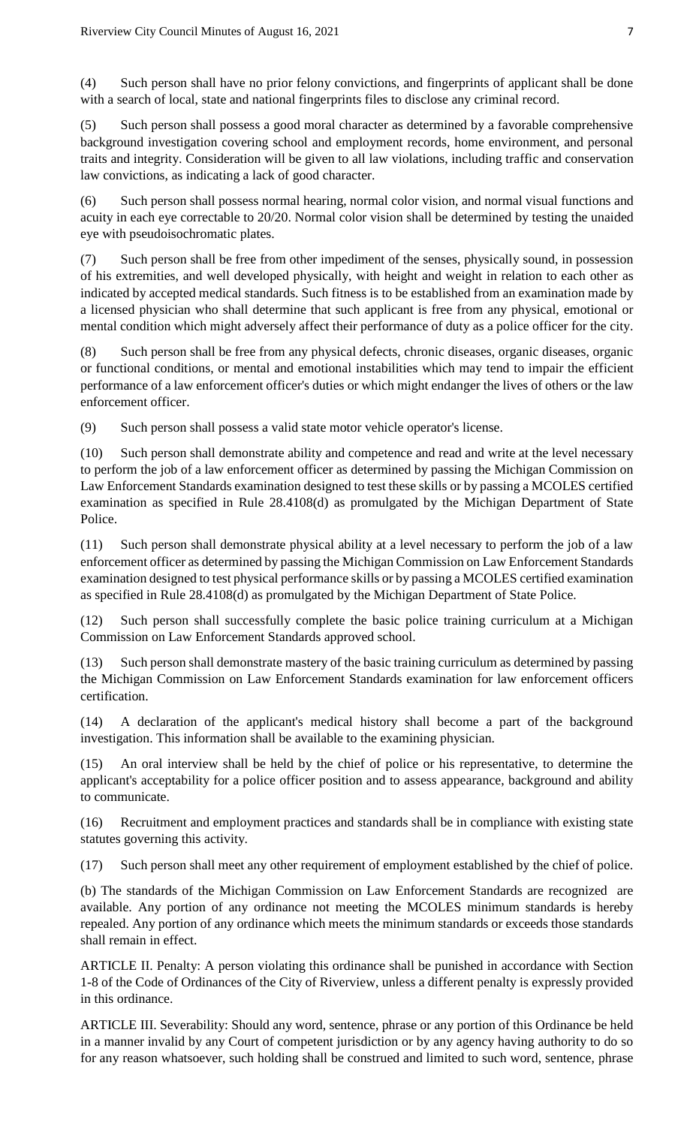(4) Such person shall have no prior felony convictions, and fingerprints of applicant shall be done with a search of local, state and national fingerprints files to disclose any criminal record.

(5) Such person shall possess a good moral character as determined by a favorable comprehensive background investigation covering school and employment records, home environment, and personal traits and integrity. Consideration will be given to all law violations, including traffic and conservation law convictions, as indicating a lack of good character.

(6) Such person shall possess normal hearing, normal color vision, and normal visual functions and acuity in each eye correctable to 20/20. Normal color vision shall be determined by testing the unaided eye with pseudoisochromatic plates.

(7) Such person shall be free from other impediment of the senses, physically sound, in possession of his extremities, and well developed physically, with height and weight in relation to each other as indicated by accepted medical standards. Such fitness is to be established from an examination made by a licensed physician who shall determine that such applicant is free from any physical, emotional or mental condition which might adversely affect their performance of duty as a police officer for the city.

(8) Such person shall be free from any physical defects, chronic diseases, organic diseases, organic or functional conditions, or mental and emotional instabilities which may tend to impair the efficient performance of a law enforcement officer's duties or which might endanger the lives of others or the law enforcement officer.

(9) Such person shall possess a valid state motor vehicle operator's license.

(10) Such person shall demonstrate ability and competence and read and write at the level necessary to perform the job of a law enforcement officer as determined by passing the Michigan Commission on Law Enforcement Standards examination designed to test these skills or by passing a MCOLES certified examination as specified in Rule 28.4108(d) as promulgated by the Michigan Department of State Police.

(11) Such person shall demonstrate physical ability at a level necessary to perform the job of a law enforcement officer as determined by passing the Michigan Commission on Law Enforcement Standards examination designed to test physical performance skills or by passing a MCOLES certified examination as specified in Rule 28.4108(d) as promulgated by the Michigan Department of State Police.

(12) Such person shall successfully complete the basic police training curriculum at a Michigan Commission on Law Enforcement Standards approved school.

(13) Such person shall demonstrate mastery of the basic training curriculum as determined by passing the Michigan Commission on Law Enforcement Standards examination for law enforcement officers certification.

(14) A declaration of the applicant's medical history shall become a part of the background investigation. This information shall be available to the examining physician.

(15) An oral interview shall be held by the chief of police or his representative, to determine the applicant's acceptability for a police officer position and to assess appearance, background and ability to communicate.

(16) Recruitment and employment practices and standards shall be in compliance with existing state statutes governing this activity.

(17) Such person shall meet any other requirement of employment established by the chief of police.

(b) The standards of the Michigan Commission on Law Enforcement Standards are recognized are available. Any portion of any ordinance not meeting the MCOLES minimum standards is hereby repealed. Any portion of any ordinance which meets the minimum standards or exceeds those standards shall remain in effect.

ARTICLE II. Penalty: A person violating this ordinance shall be punished in accordance with Section 1-8 of the Code of Ordinances of the City of Riverview, unless a different penalty is expressly provided in this ordinance.

ARTICLE III. Severability: Should any word, sentence, phrase or any portion of this Ordinance be held in a manner invalid by any Court of competent jurisdiction or by any agency having authority to do so for any reason whatsoever, such holding shall be construed and limited to such word, sentence, phrase